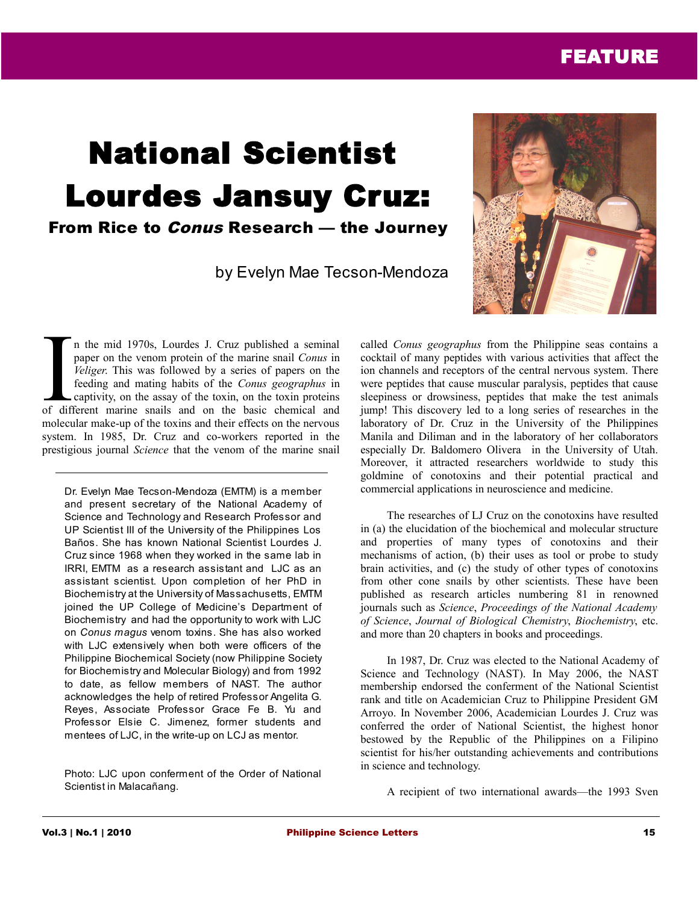# FEATURE

# National Scientist Lourdes Jansuy Cruz: From Rice to Conus Research — the Journey

by Evelyn Mae Tecson-Mendoza



n the mid 1970s, Lourdes J. Cruz published a seminal paper on the venom protein of the marine snail *Conus* in *Veliger*. This was followed by a series of papers on the feeding and mating habits of the *Conus geographus* in captivity, on the assay of the toxin, on the toxin proteins If the mid 1970s, Lourdes J. Cruz published a seminal paper on the venom protein of the marine snail Conus in *Veliger*. This was followed by a series of papers on the feeding and mating habits of the *Conus geographus* in molecular make-up of the toxins and their effects on the nervous system. In 1985, Dr. Cruz and co-workers reported in the prestigious journal *Science* that the venom of the marine snail

Dr. Evelyn Mae Tecson-Mendoza (EMTM) is a member and present secretary of the National Academy of Science and Technology and Research Professor and UP Scientist III of the University of the Philippines Los Baños. She has known National Scientist Lourdes J. Cruz since 1968 when they worked in the same lab in IRRI, EMTM as a research assistant and LJC as an assistant scientist. Upon completion of her PhD in Biochemistry at the University of Massachusetts, EMTM joined the UP College of Medicine's Department of Biochemistry and had the opportunity to work with LJC on *Conus magus* venom toxins. She has also worked with LJC extensively when both were officers of the Philippine Biochemical Society (now Philippine Society for Biochemistry and Molecular Biology) and from 1992 to date, as fellow members of NAST. The author acknowledges the help of retired Professor Angelita G. Reyes, Associate Professor Grace Fe B. Yu and Professor Elsie C. Jimenez, former students and mentees of LJC, in the write-up on LCJ as mentor.

Photo: LJC upon conferment of the Order of National Scientist in Malacañang.

called *Conus geographus* from the Philippine seas contains a cocktail of many peptides with various activities that affect the ion channels and receptors of the central nervous system. There were peptides that cause muscular paralysis, peptides that cause sleepiness or drowsiness, peptides that make the test animals jump! This discovery led to a long series of researches in the laboratory of Dr. Cruz in the University of the Philippines Manila and Diliman and in the laboratory of her collaborators especially Dr. Baldomero Olivera in the University of Utah. Moreover, it attracted researchers worldwide to study this goldmine of conotoxins and their potential practical and commercial applications in neuroscience and medicine.

The researches of LJ Cruz on the conotoxins have resulted in (a) the elucidation of the biochemical and molecular structure and properties of many types of conotoxins and their mechanisms of action, (b) their uses as tool or probe to study brain activities, and (c) the study of other types of conotoxins from other cone snails by other scientists. These have been published as research articles numbering 81 in renowned journals such as *Science*, *Proceedings of the National Academy of Science*, *Journal of Biological Chemistry*, *Biochemistry*, etc. and more than 20 chapters in books and proceedings.

In 1987, Dr. Cruz was elected to the National Academy of Science and Technology (NAST). In May 2006, the NAST membership endorsed the conferment of the National Scientist rank and title on Academician Cruz to Philippine President GM Arroyo. In November 2006, Academician Lourdes J. Cruz was conferred the order of National Scientist, the highest honor bestowed by the Republic of the Philippines on a Filipino scientist for his/her outstanding achievements and contributions in science and technology.

A recipient of two international awards—the 1993 Sven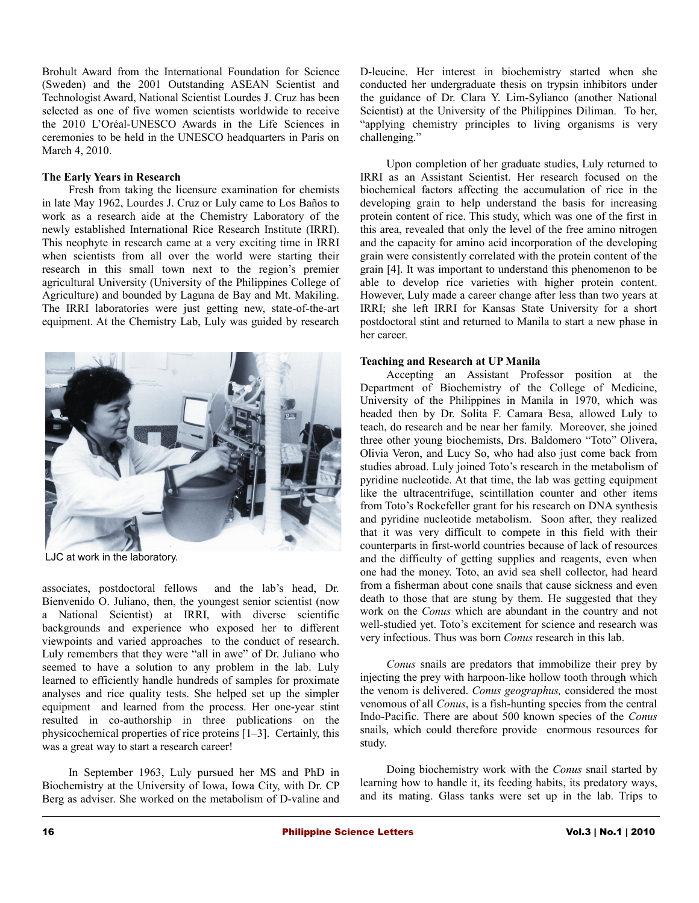Brohult Award from the International Foundation for Science (Sweden) and the 2001 Outstanding ASEAN Scientist and Technologist Award, National Scientist Lourdes J. Cruz has been selected as one of five women scientists worldwide to receive the 2010 L'Oréal-UNESCO Awards in the Life Sciences in ceremonies to be held in the UNESCO headquarters in Paris on March 4, 2010.

## **The Early Years in Research**

Fresh from taking the licensure examination for chemists in late May 1962, Lourdes J. Cruz or Luly came to Los Baños to work as a research aide at the Chemistry Laboratory of the newly established International Rice Research Institute (IRRI). This neophyte in research came at a very exciting time in IRRI when scientists from all over the world were starting their research in this small town next to the region's premier agricultural University (University of the Philippines College of Agriculture) and bounded by Laguna de Bay and Mt. Makiling. The IRRI laboratories were just getting new, state-of-the-art equipment. At the Chemistry Lab, Luly was guided by research



LJC at work in the laboratory.

associates, postdoctoral fellows and the lab's head, Dr. Bienvenido O. Juliano, then, the youngest senior scientist (now a National Scientist) at IRRI, with diverse scientific backgrounds and experience who exposed her to different viewpoints and varied approaches to the conduct of research. Luly remembers that they were "all in awe" of Dr. Juliano who seemed to have a solution to any problem in the lab. Luly learned to efficiently handle hundreds of samples for proximate analyses and rice quality tests. She helped set up the simpler equipment and learned from the process. Her one-year stint resulted in co-authorship in three publications on the physicochemical properties of rice proteins [1–3]. Certainly, this was a great way to start a research career!

In September 1963, Luly pursued her MS and PhD in Biochemistry at the University of Iowa, Iowa City, with Dr. CP Berg as adviser. She worked on the metabolism of D-valine and D-leucine. Her interest in biochemistry started when she conducted her undergraduate thesis on trypsin inhibitors under the guidance of Dr. Clara Y. Lim-Sylianco (another National Scientist) at the University of the Philippines Diliman. To her, "applying chemistry principles to living organisms is very challenging."

Upon completion of her graduate studies, Luly returned to IRRI as an Assistant Scientist. Her research focused on the biochemical factors affecting the accumulation of rice in the developing grain to help understand the basis for increasing protein content of rice. This study, which was one of the first in this area, revealed that only the level of the free amino nitrogen and the capacity for amino acid incorporation of the developing grain were consistently correlated with the protein content of the grain [4]. It was important to understand this phenomenon to be able to develop rice varieties with higher protein content. However, Luly made a career change after less than two years at IRRI; she left IRRI for Kansas State University for a short postdoctoral stint and returned to Manila to start a new phase in her career.

#### **Teaching and Research at UP Manila**

Accepting an Assistant Professor position at the Department of Biochemistry of the College of Medicine, University of the Philippines in Manila in 1970, which was headed then by Dr. Solita F. Camara Besa, allowed Luly to teach, do research and be near her family. Moreover, she joined three other young biochemists, Drs. Baldomero "Toto" Olivera, Olivia Veron, and Lucy So, who had also just come back from studies abroad. Luly joined Toto's research in the metabolism of pyridine nucleotide. At that time, the lab was getting equipment like the ultracentrifuge, scintillation counter and other items from Toto's Rockefeller grant for his research on DNA synthesis and pyridine nucleotide metabolism. Soon after, they realized that it was very difficult to compete in this field with their counterparts in first-world countries because of lack of resources and the difficulty of getting supplies and reagents, even when one had the money. Toto, an avid sea shell collector, had heard from a fisherman about cone snails that cause sickness and even death to those that are stung by them. He suggested that they work on the *Conus* which are abundant in the country and not well-studied yet. Toto's excitement for science and research was very infectious. Thus was born *Conus* research in this lab.

*Conus* snails are predators that immobilize their prey by injecting the prey with harpoon-like hollow tooth through which the venom is delivered. *Conus geographus,* considered the most venomous of all *Conus*, is a fish-hunting species from the central Indo-Pacific. There are about 500 known species of the *Conus* snails, which could therefore provide enormous resources for study.

Doing biochemistry work with the *Conus* snail started by learning how to handle it, its feeding habits, its predatory ways, and its mating. Glass tanks were set up in the lab. Trips to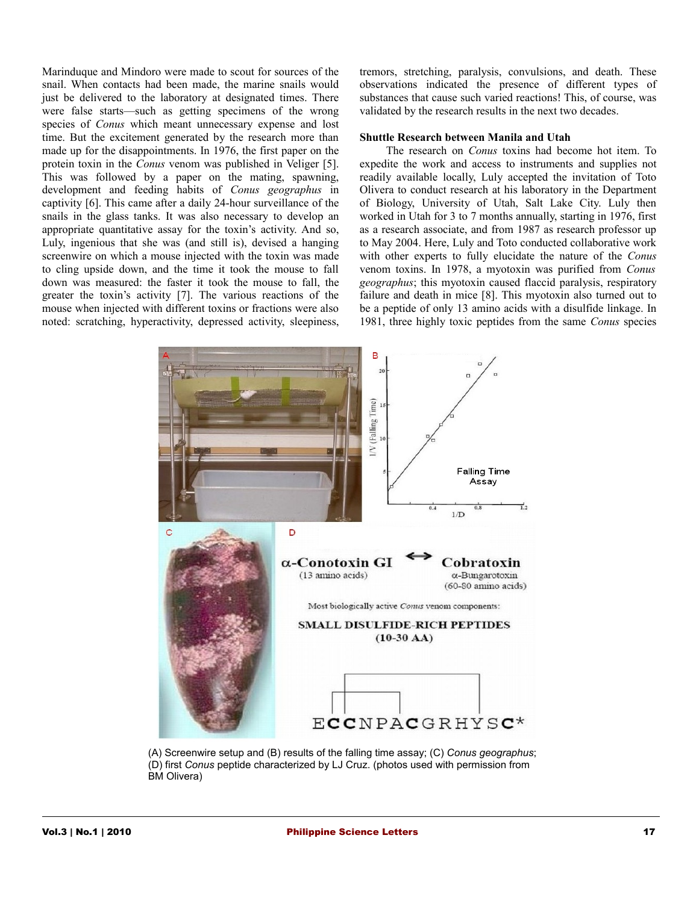Marinduque and Mindoro were made to scout for sources of the snail. When contacts had been made, the marine snails would just be delivered to the laboratory at designated times. There were false starts—such as getting specimens of the wrong species of *Conus* which meant unnecessary expense and lost time. But the excitement generated by the research more than made up for the disappointments. In 1976, the first paper on the protein toxin in the *Conus* venom was published in Veliger [5]. This was followed by a paper on the mating, spawning, development and feeding habits of *Conus geographus* in captivity [6]. This came after a daily 24-hour surveillance of the snails in the glass tanks. It was also necessary to develop an appropriate quantitative assay for the toxin's activity. And so, Luly, ingenious that she was (and still is), devised a hanging screenwire on which a mouse injected with the toxin was made to cling upside down, and the time it took the mouse to fall down was measured: the faster it took the mouse to fall, the greater the toxin's activity [7]. The various reactions of the mouse when injected with different toxins or fractions were also noted: scratching, hyperactivity, depressed activity, sleepiness,

tremors, stretching, paralysis, convulsions, and death. These observations indicated the presence of different types of substances that cause such varied reactions! This, of course, was validated by the research results in the next two decades.

#### **Shuttle Research between Manila and Utah**

The research on *Conus* toxins had become hot item. To expedite the work and access to instruments and supplies not readily available locally, Luly accepted the invitation of Toto Olivera to conduct research at his laboratory in the Department of Biology, University of Utah, Salt Lake City. Luly then worked in Utah for 3 to 7 months annually, starting in 1976, first as a research associate, and from 1987 as research professor up to May 2004. Here, Luly and Toto conducted collaborative work with other experts to fully elucidate the nature of the *Conus* venom toxins. In 1978, a myotoxin was purified from *Conus geographus*; this myotoxin caused flaccid paralysis, respiratory failure and death in mice [8]. This myotoxin also turned out to be a peptide of only 13 amino acids with a disulfide linkage. In 1981, three highly toxic peptides from the same *Conus* species



(A) Screenwire setup and (B) results of the falling time assay; (C) *Conus geographus*; (D) first *Conus* peptide characterized by LJ Cruz. (photos used with permission from BM Olivera)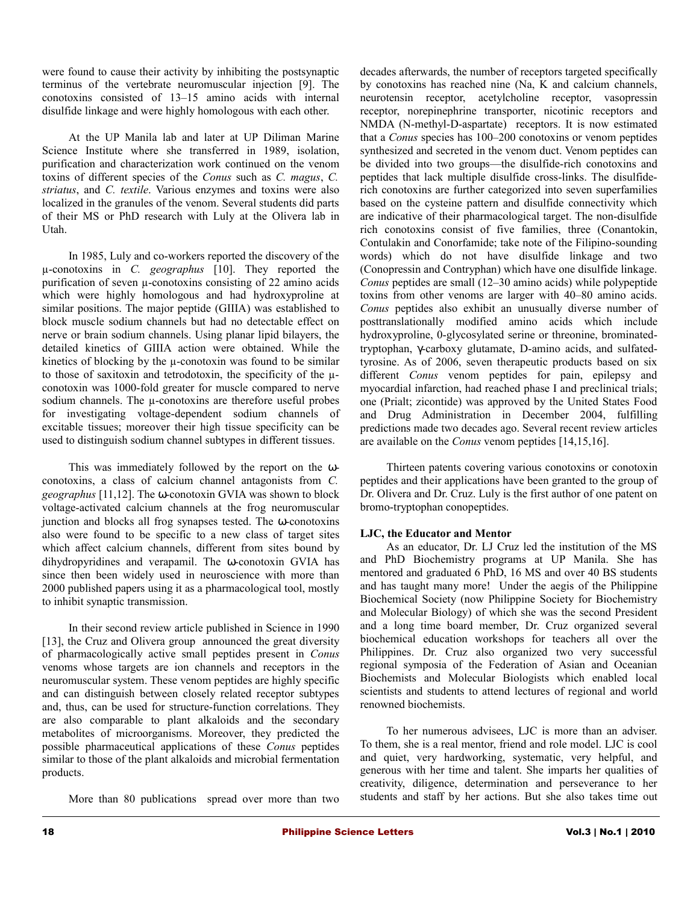were found to cause their activity by inhibiting the postsynaptic terminus of the vertebrate neuromuscular injection [9]. The conotoxins consisted of 13–15 amino acids with internal disulfide linkage and were highly homologous with each other.

At the UP Manila lab and later at UP Diliman Marine Science Institute where she transferred in 1989, isolation, purification and characterization work continued on the venom toxins of different species of the *Conus* such as *C. magus*, *C. striatus*, and *C. textile*. Various enzymes and toxins were also localized in the granules of the venom. Several students did parts of their MS or PhD research with Luly at the Olivera lab in Utah.

In 1985, Luly and co-workers reported the discovery of the µ-conotoxins in *C. geographus* [10]. They reported the purification of seven µ-conotoxins consisting of 22 amino acids which were highly homologous and had hydroxyproline at similar positions. The major peptide (GIIIA) was established to block muscle sodium channels but had no detectable effect on nerve or brain sodium channels. Using planar lipid bilayers, the detailed kinetics of GIIIA action were obtained. While the kinetics of blocking by the  $\mu$ -conotoxin was found to be similar to those of saxitoxin and tetrodotoxin, the specificity of the  $\mu$ conotoxin was 1000-fold greater for muscle compared to nerve sodium channels. The  $\mu$ -conotoxins are therefore useful probes for investigating voltage-dependent sodium channels of excitable tissues; moreover their high tissue specificity can be used to distinguish sodium channel subtypes in different tissues.

This was immediately followed by the report on the ωconotoxins, a class of calcium channel antagonists from *C. geographus* [11,12]. The ω-conotoxin GVIA was shown to block voltage-activated calcium channels at the frog neuromuscular junction and blocks all frog synapses tested. The ω-conotoxins also were found to be specific to a new class of target sites which affect calcium channels, different from sites bound by dihydropyridines and verapamil. The ω-conotoxin GVIA has since then been widely used in neuroscience with more than 2000 published papers using it as a pharmacological tool, mostly to inhibit synaptic transmission.

In their second review article published in Science in 1990 [13], the Cruz and Olivera group announced the great diversity of pharmacologically active small peptides present in *Conus* venoms whose targets are ion channels and receptors in the neuromuscular system. These venom peptides are highly specific and can distinguish between closely related receptor subtypes and, thus, can be used for structure-function correlations. They are also comparable to plant alkaloids and the secondary metabolites of microorganisms. Moreover, they predicted the possible pharmaceutical applications of these *Conus* peptides similar to those of the plant alkaloids and microbial fermentation products.

More than 80 publications spread over more than two

decades afterwards, the number of receptors targeted specifically by conotoxins has reached nine (Na, K and calcium channels, neurotensin receptor, acetylcholine receptor, vasopressin receptor, norepinephrine transporter, nicotinic receptors and NMDA (N-methyl-D-aspartate) receptors. It is now estimated that a *Conus* species has 100–200 conotoxins or venom peptides synthesized and secreted in the venom duct. Venom peptides can be divided into two groups—the disulfide-rich conotoxins and peptides that lack multiple disulfide cross-links. The disulfiderich conotoxins are further categorized into seven superfamilies based on the cysteine pattern and disulfide connectivity which are indicative of their pharmacological target. The non-disulfide rich conotoxins consist of five families, three (Conantokin, Contulakin and Conorfamide; take note of the Filipino-sounding words) which do not have disulfide linkage and two (Conopressin and Contryphan) which have one disulfide linkage. *Conus* peptides are small (12–30 amino acids) while polypeptide toxins from other venoms are larger with 40–80 amino acids. *Conus* peptides also exhibit an unusually diverse number of posttranslationally modified amino acids which include hydroxyproline, 0-glycosylated serine or threonine, brominatedtryptophan, γ-carboxy glutamate, D-amino acids, and sulfatedtyrosine. As of 2006, seven therapeutic products based on six different *Conus* venom peptides for pain, epilepsy and myocardial infarction, had reached phase I and preclinical trials; one (Prialt; zicontide) was approved by the United States Food and Drug Administration in December 2004, fulfilling predictions made two decades ago. Several recent review articles are available on the *Conus* venom peptides [14,15,16].

Thirteen patents covering various conotoxins or conotoxin peptides and their applications have been granted to the group of Dr. Olivera and Dr. Cruz. Luly is the first author of one patent on bromo-tryptophan conopeptides.

# **LJC, the Educator and Mentor**

As an educator, Dr. LJ Cruz led the institution of the MS and PhD Biochemistry programs at UP Manila. She has mentored and graduated 6 PhD, 16 MS and over 40 BS students and has taught many more! Under the aegis of the Philippine Biochemical Society (now Philippine Society for Biochemistry and Molecular Biology) of which she was the second President and a long time board member, Dr. Cruz organized several biochemical education workshops for teachers all over the Philippines. Dr. Cruz also organized two very successful regional symposia of the Federation of Asian and Oceanian Biochemists and Molecular Biologists which enabled local scientists and students to attend lectures of regional and world renowned biochemists.

To her numerous advisees, LJC is more than an adviser. To them, she is a real mentor, friend and role model. LJC is cool and quiet, very hardworking, systematic, very helpful, and generous with her time and talent. She imparts her qualities of creativity, diligence, determination and perseverance to her students and staff by her actions. But she also takes time out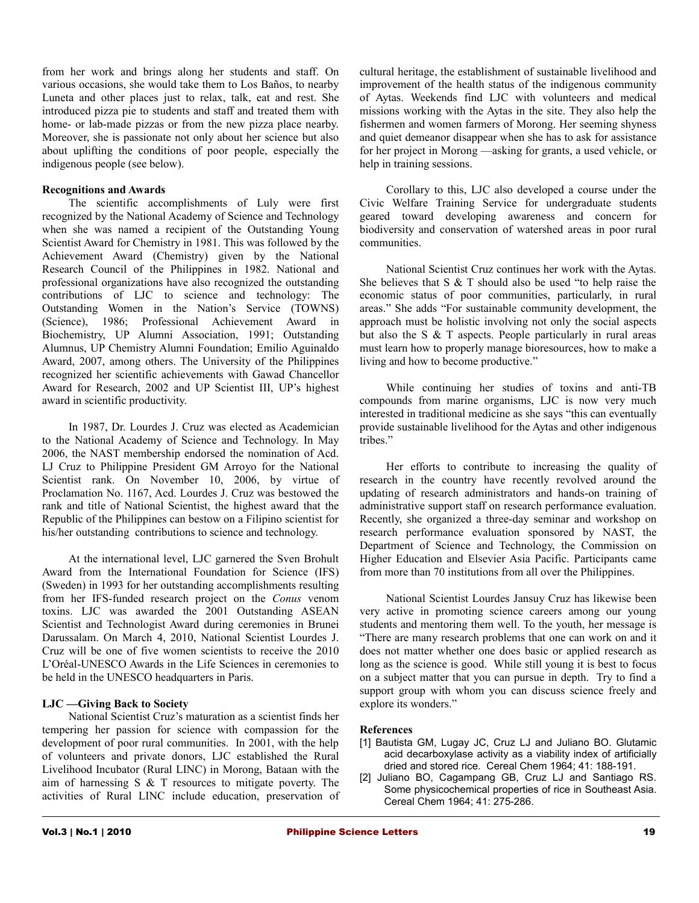from her work and brings along her students and staff. On various occasions, she would take them to Los Baños, to nearby Luneta and other places just to relax, talk, eat and rest. She introduced pizza pie to students and staff and treated them with home- or lab-made pizzas or from the new pizza place nearby. Moreover, she is passionate not only about her science but also about uplifting the conditions of poor people, especially the indigenous people (see below).

# **Recognitions and Awards**

The scientific accomplishments of Luly were first recognized by the National Academy of Science and Technology when she was named a recipient of the Outstanding Young Scientist Award for Chemistry in 1981. This was followed by the Achievement Award (Chemistry) given by the National Research Council of the Philippines in 1982. National and professional organizations have also recognized the outstanding contributions of LJC to science and technology: The Outstanding Women in the Nation's Service (TOWNS) (Science), 1986; Professional Achievement Award in Biochemistry, UP Alumni Association, 1991; Outstanding Alumnus, UP Chemistry Alumni Foundation; Emilio Aguinaldo Award, 2007, among others. The University of the Philippines recognized her scientific achievements with Gawad Chancellor Award for Research, 2002 and UP Scientist III, UP's highest award in scientific productivity.

In 1987, Dr. Lourdes J. Cruz was elected as Academician to the National Academy of Science and Technology. In May 2006, the NAST membership endorsed the nomination of Acd. LJ Cruz to Philippine President GM Arroyo for the National Scientist rank. On November 10, 2006, by virtue of Proclamation No. 1167, Acd. Lourdes J. Cruz was bestowed the rank and title of National Scientist, the highest award that the Republic of the Philippines can bestow on a Filipino scientist for his/her outstanding contributions to science and technology.

At the international level, LJC garnered the Sven Brohult Award from the International Foundation for Science (IFS) (Sweden) in 1993 for her outstanding accomplishments resulting from her IFS-funded research project on the *Conus* venom toxins. LJC was awarded the 2001 Outstanding ASEAN Scientist and Technologist Award during ceremonies in Brunei Darussalam. On March 4, 2010, National Scientist Lourdes J. Cruz will be one of five women scientists to receive the 2010 L'Oréal-UNESCO Awards in the Life Sciences in ceremonies to be held in the UNESCO headquarters in Paris.

## **LJC —Giving Back to Society**

National Scientist Cruz's maturation as a scientist finds her tempering her passion for science with compassion for the development of poor rural communities. In 2001, with the help of volunteers and private donors, LJC established the Rural Livelihood Incubator (Rural LINC) in Morong, Bataan with the aim of harnessing S & T resources to mitigate poverty. The activities of Rural LINC include education, preservation of cultural heritage, the establishment of sustainable livelihood and improvement of the health status of the indigenous community of Aytas. Weekends find LJC with volunteers and medical missions working with the Aytas in the site. They also help the fishermen and women farmers of Morong. Her seeming shyness and quiet demeanor disappear when she has to ask for assistance for her project in Morong —asking for grants, a used vehicle, or help in training sessions.

Corollary to this, LJC also developed a course under the Civic Welfare Training Service for undergraduate students geared toward developing awareness and concern for biodiversity and conservation of watershed areas in poor rural communities.

National Scientist Cruz continues her work with the Aytas. She believes that S & T should also be used "to help raise the economic status of poor communities, particularly, in rural areas." She adds "For sustainable community development, the approach must be holistic involving not only the social aspects but also the S & T aspects. People particularly in rural areas must learn how to properly manage bioresources, how to make a living and how to become productive."

While continuing her studies of toxins and anti-TB compounds from marine organisms, LJC is now very much interested in traditional medicine as she says "this can eventually provide sustainable livelihood for the Aytas and other indigenous tribes."

Her efforts to contribute to increasing the quality of research in the country have recently revolved around the updating of research administrators and hands-on training of administrative support staff on research performance evaluation. Recently, she organized a three-day seminar and workshop on research performance evaluation sponsored by NAST, the Department of Science and Technology, the Commission on Higher Education and Elsevier Asia Pacific. Participants came from more than 70 institutions from all over the Philippines.

National Scientist Lourdes Jansuy Cruz has likewise been very active in promoting science careers among our young students and mentoring them well. To the youth, her message is "There are many research problems that one can work on and it does not matter whether one does basic or applied research as long as the science is good. While still young it is best to focus on a subject matter that you can pursue in depth. Try to find a support group with whom you can discuss science freely and explore its wonders."

#### **References**

- [1] Bautista GM, Lugay JC, Cruz LJ and Juliano BO. Glutamic acid decarboxylase activity as a viability index of artificially dried and stored rice. Cereal Chem 1964; 41: 188-191.
- [2] Juliano BO, Cagampang GB, Cruz LJ and Santiago RS. Some physicochemical properties of rice in Southeast Asia. Cereal Chem 1964; 41: 275-286.